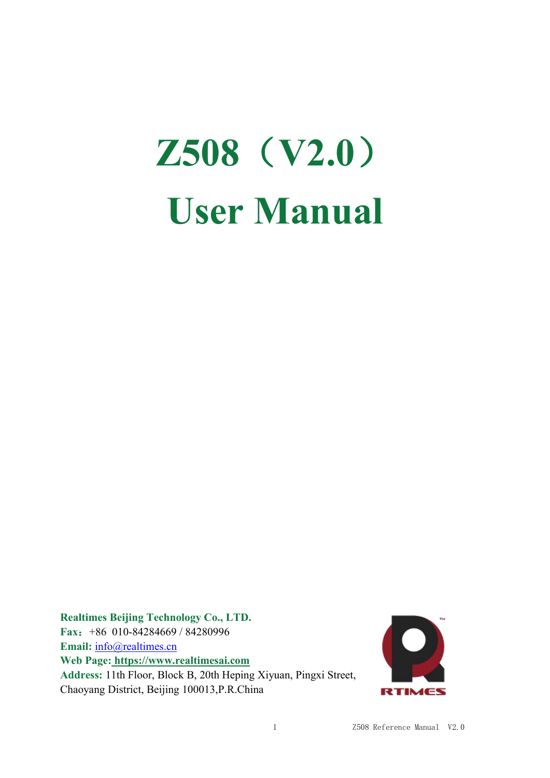# **Z508**(**V2.0**) **User Manual**

**Realtimes Beijing Technology Co., LTD. Fax**:+86 010-84284669 / 84280996 Email: [info@realtimes.cn](mailto:info@realtimes.cn) **Web Page: <https://www.realtimesai.com> Address:** 11th Floor, Block B, 20th Heping Xiyuan, Pingxi Street, Chaoyang District, Beijing 100013,P.R.China

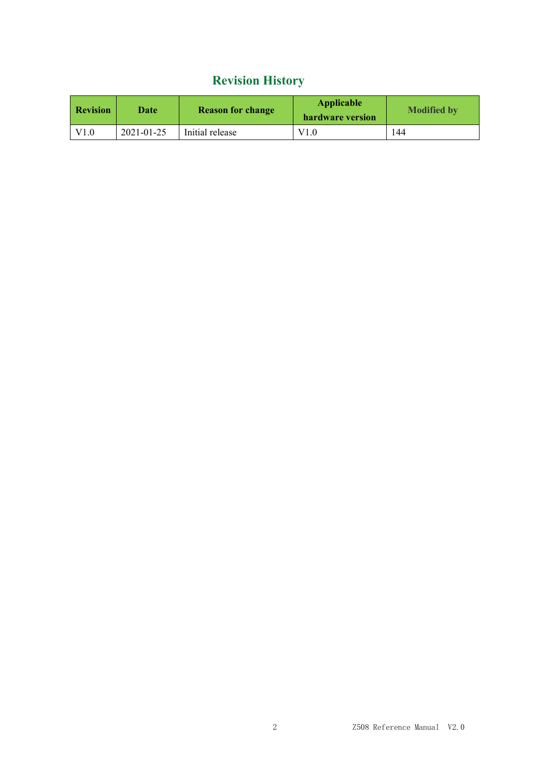# **Revision History**

| <b>Revision</b> | Date       | <b>Reason for change</b> | <b>Applicable</b><br>hardware version | <b>Modified by</b> |
|-----------------|------------|--------------------------|---------------------------------------|--------------------|
| V1.0            | 2021-01-25 | Initial release          | V1.0                                  | 144                |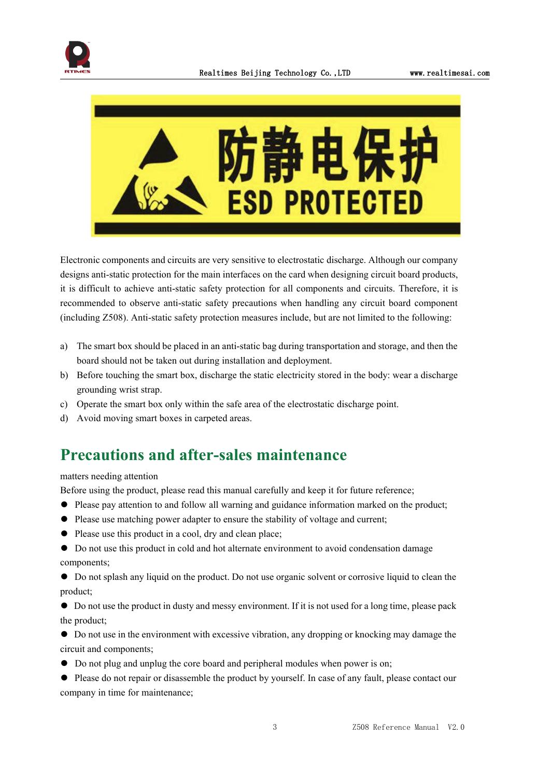



Electronic components and circuits are very sensitive to electrostatic discharge. Although our company designs anti-static protection for the main interfaces on the card when designing circuit board products, it is difficult to achieve anti-static safety protection for all components and circuits. Therefore, it is recommended to observe anti-static safety precautions when handling any circuit board component (including Z508). Anti-static safety protection measures include, but are not limited to the following:

- a) The smart box should be placed in an anti-static bag during transportation and storage, and then the board should not be taken out during installation and deployment.
- b) Before touching the smart box, discharge the static electricity stored in the body: wear a discharge grounding wrist strap.
- c) Operate the smart box only within the safe area of the electrostatic discharge point.
- d) Avoid moving smart boxes in carpeted areas.

# **Precautions and after-sales maintenance**

#### matters needing attention

Before using the product, please read this manual carefully and keep it for future reference;

- ⚫ Please pay attention to and follow all warning and guidance information marked on the product;
- ⚫ Please use matching power adapter to ensure the stability of voltage and current;
- ⚫ Please use this product in a cool, dry and clean place;
- ⚫ Do not use this product in cold and hot alternate environment to avoid condensation damage components;
- ⚫ Do not splash any liquid on the product. Do not use organic solventor corrosive liquid to clean the product;
- ⚫ Do not use the product in dusty and messy environment. If it is not used for a long time, please pack the product;
- ⚫ Do not use in the environment with excessive vibration, any dropping or knocking may damage the circuit and components;
- ⚫ Do not plug and unplug the core board and peripheral modules when power is on;
- $\bullet$  Please do not repair or disassemble the product by yourself. In case of any fault, please contact our company in time for maintenance;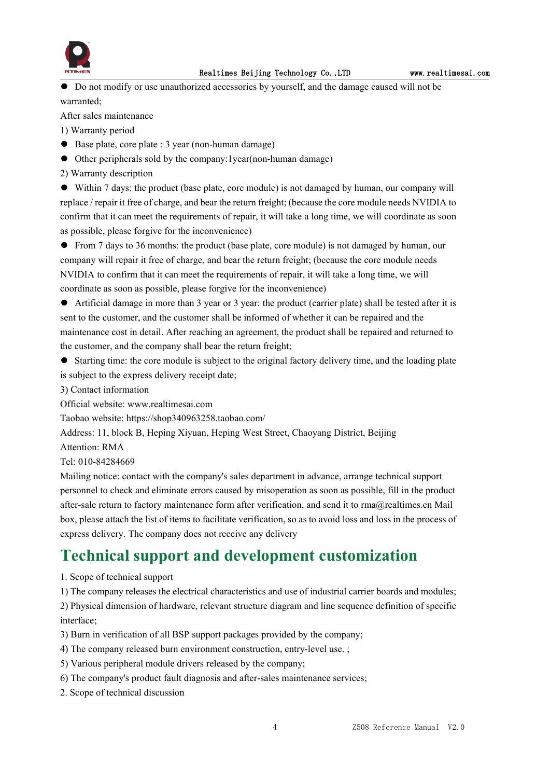

⚫ Do not modify or use unauthorized accessories by yourself, and the damage caused will not be warranted;

After sales maintenance

1) Warranty period

- Base plate, core plate : 3 year (non-human damage)
- ⚫ Other peripherals sold by the company:1year(non-human damage)

2) Warranty description

⚫ Within 7 days: the product (base plate, core module) is not damaged by human, our company will replace / repair it free of charge, and bear the return freight; (because the core module needs NVIDIA to confirm that it can meet the requirements of repair, it will take a long time, we will coordinate as soon as possible, please forgive for the inconvenience)

● From 7 days to 36 months: the product (base plate, core module) is not damaged by human, our company will repair it free of charge, and bear the return freight; (because the core module needs NVIDIA to confirm that it can meet the requirements of repair, it will take a long time, we will coordinate as soon as possible, please forgive for the inconvenience)

⚫ Artificial damage in more than 3 year or 3 year: the product (carrier plate) shall be tested after it is sent to the customer, and the customer shall be informed of whether it can be repaired and the maintenance cost in detail. After reaching an agreement, the product shall be repaired and returned to the customer, and the company shall bear the return freight;

● Starting time: the core module is subject to the original factory delivery time, and the loading plate is subject to the express delivery receipt date;

3) Contact information

Official website: www.realtimesai.com

Taobao website: https://shop340963258.taobao.com/

Address: 11, block B, Heping Xiyuan, Heping West Street, Chaoyang District, Beijing

Attention: RMA

Tel: 010-84284669

Mailing notice: contact with the company's sales department in advance, arrange technical support personnel to check and eliminate errors caused by misoperation as soon as possible, fill in the product after-sale return to factory maintenance form after verification, and send it to rma@realtimes.cn Mail box, please attach the list of items to facilitate verification, so as to avoid loss and loss in the process of express delivery. The company does not receive any delivery

# **Technical support and development customization**

1. Scope of technical support

1) The company releases the electrical characteristics and use of industrial carrier boards and modules;

2) Physical dimension of hardware, relevant structure diagram and line sequence definition of specific interface;

- 3) Burn in verification of all BSP support packages provided by the company;
- 4) The company released burn environment construction, entry-level use. ;
- 5) Various peripheral module drivers released by the company;
- 6) The company's product fault diagnosis and after-sales maintenance services;
- 2. Scope of technical discussion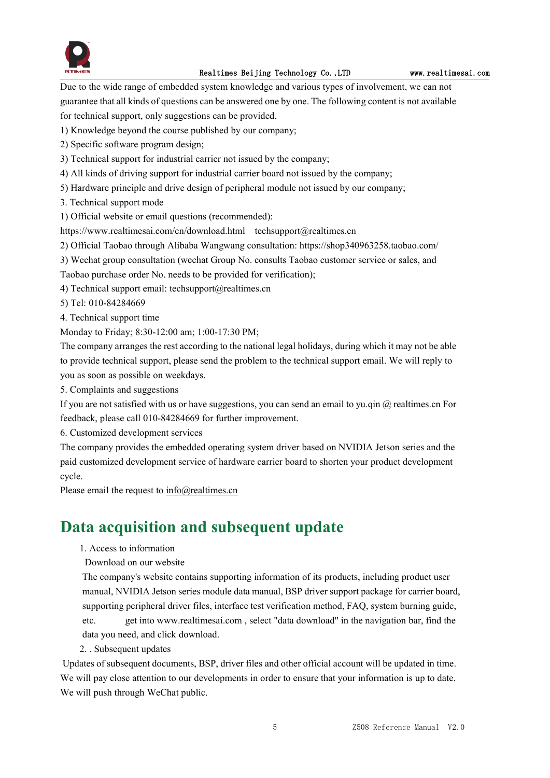

Due to the wide range of embedded system knowledge and various types of involvement, we can not guarantee that all kinds of questions can be answered one by one.The following content is not available for technical support, only suggestions can be provided.

- 1) Knowledge beyond the course published by our company;
- 2) Specific software program design;
- 3) Technical support for industrial carrier not issued by the company;
- 4) All kinds of driving support for industrial carrier board not issued by the company;
- 5) Hardware principle and drive design of peripheral module not issued by our company;
- 3. Technical support mode
- 1) Official website or email questions (recommended):

https://www.realtimesai.com/cn/download.html techsupport@realtimes.cn

2) Official Taobao through Alibaba Wangwang consultation: https://shop340963258.taobao.com/

- 3) Wechat group consultation (wechat Group No. consults Taobao customer service or sales, and
- Taobao purchase order No. needs to be provided for verification);

4) Technical support email: techsupport@realtimes.cn

- 5) Tel: 010-84284669
- 4. Technical support time

Monday to Friday; 8:30-12:00 am; 1:00-17:30 PM;

The company arranges the rest according to the national legal holidays, during which it may notbe able to provide technical support, please send the problem to the technical support email. We will reply to you as soon as possible on weekdays.

5. Complaints and suggestions

If you are not satisfied with us or have suggestions, you can send an email to yu.qin  $@$  realtimes.cn For feedback, please call 010-84284669 for further improvement.

6. Customized development services

The company provides the embedded operating system driver based on NVIDIA Jetson series and the paid customized development service of hardware carrier board to shorten your product development cycle.

Please email the request to [info@realtimes.cn](mailto:info@realtimes.cn)

## **Data acquisition and subsequent update**

- 1. Access to information
- Download on our website

The company's website contains supporting information of its products, including product user manual, NVIDIA Jetson series module data manual, BSP driver support package for carrier board, supporting peripheral driver files, interface test verification method, FAQ, system burning guide, etc. get into www.realtimesai.com , select "data download" in the navigation bar, find the data you need, and click download.

#### 2. . Subsequent updates

Updates of subsequent documents, BSP, driver files and other official account will be updated in time. We will pay close attention to our developments in order to ensure that your information is up to date. We will push through WeChat public.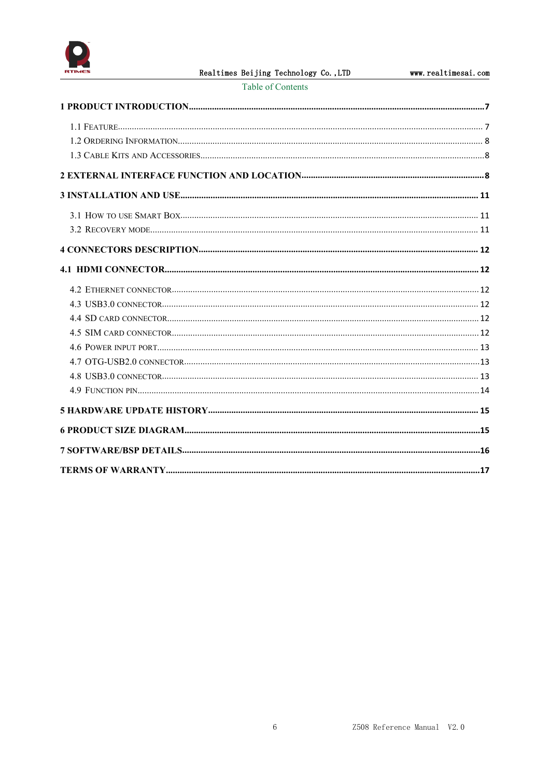

| Table of Contents |  |  |
|-------------------|--|--|
|                   |  |  |
|                   |  |  |
|                   |  |  |
|                   |  |  |
|                   |  |  |
|                   |  |  |
|                   |  |  |
|                   |  |  |
|                   |  |  |
|                   |  |  |
|                   |  |  |
|                   |  |  |
|                   |  |  |
|                   |  |  |
|                   |  |  |
|                   |  |  |
|                   |  |  |
|                   |  |  |
|                   |  |  |
|                   |  |  |
|                   |  |  |
|                   |  |  |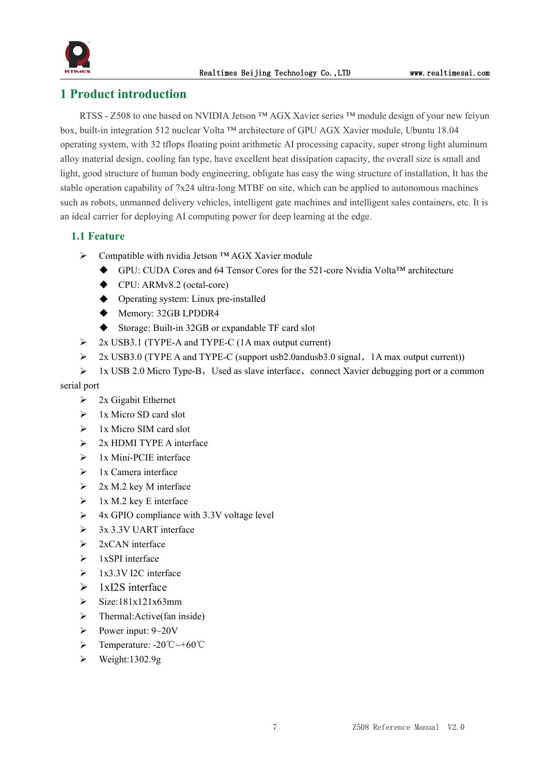

#### <span id="page-6-0"></span>**1 Product introduction**

RTSS - Z508 to one based on NVIDIA Jetson ™ AGX Xavier series ™ module design of your new feiyun box, built-in integration 512 nuclear Volta ™ architecture of GPU AGX Xavier module, Ubuntu 18.04 operating system, with 32 tflops floating point arithmetic AI processing capacity, super strong light aluminum alloy material design, cooling fan type, have excellent heat dissipation capacity, the overall size is small and light, good structure of human body engineering, obligate has easy the wing structure of installation, It has the stable operation capability of 7x24 ultra-long MTBF on site, which can be applied to autonomous machines such as robots, unmanned delivery vehicles, intelligent gate machines and intelligent sales containers, etc. It is an ideal carrier for deploying AI computing power for deep learning at the edge.

#### <span id="page-6-1"></span>**1.1 Feature**

- Compatible with nvidia Jetson ™ AGX Xavier module
	- GPU: CUDA Cores and 64 Tensor Cores for the 521-core Nvidia Volta™ architecture
	- ◆ CPU: ARMv8.2 (octal-core)
	- Operating system: Linux pre-installed
	- ◆ Memory: 32GB LPDDR4
	- ◆ Storage: Built-in 32GB or expandable TF card slot
- $\geq$  2x USB3.1 (TYPE-A and TYPE-C (1A max output current)
- > 2x USB3.0 (TYPE A and TYPE-C (support usb2.0andusb3.0 signal, 1A max output current))
- $\geq 1x$  USB 2.0 Micro Type-B, Used as slave interface, connect Xavier debugging port or a common

#### serial port

- $\geq$  2x Gigabit Ethernet
- $\geq 1x$  Micro SD card slot
- $\geq$  1x Micro SIM card slot
- $\geq$  2x HDMI TYPE A interface
- $\geq$  1x Mini-PCIE interface
- $\geq 1x$  Camera interface
- $\geq$  2x M.2 key M interface
- $\geq 1x M.2$  key E interface
- $\triangleright$  4x GPIO compliance with 3.3V voltage level
- $\geq$  3x 3.3V UART interface
- $\geq$  2xCAN interface
- $\geq 1x$ SPI interface
- $\triangleright$  1x3.3V I2C interface
- $\geq 1xI2S$  interface
- $\sum$  Size:181x121x63mm
- $\triangleright$  Thermal: Active (fan inside)
- Power input:  $9 \sim 20V$
- Temperature: -20℃~+60℃
- $\blacktriangleright$  Weight:1302.9g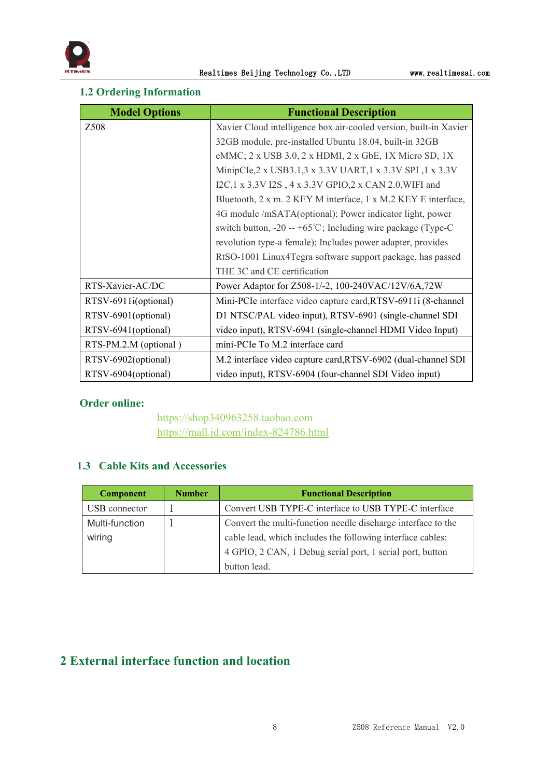#### <span id="page-7-0"></span>**1.2 Ordering Information**

| <b>Model Options</b>  | <b>Functional Description</b>                                     |
|-----------------------|-------------------------------------------------------------------|
| Z508                  | Xavier Cloud intelligence box air-cooled version, built-in Xavier |
|                       | 32GB module, pre-installed Ubuntu 18.04, built-in 32GB            |
|                       | eMMC; 2 x USB 3.0, 2 x HDMI, 2 x GbE, 1X Micro SD, 1X             |
|                       | MinipCle, 2 x USB3.1, 3 x 3.3V UART, 1 x 3.3V SPI, 1 x 3.3V       |
|                       | I2C,1 x 3.3V I2S, 4 x 3.3V GPIO,2 x CAN 2.0, WIFI and             |
|                       | Bluetooth, 2 x m. 2 KEY M interface, 1 x M.2 KEY E interface,     |
|                       | 4G module /mSATA(optional); Power indicator light, power          |
|                       | switch button, -20 -- +65 °C; Including wire package (Type-C)     |
|                       | revolution type-a female); Includes power adapter, provides       |
|                       | RtSO-1001 Linux4Tegra software support package, has passed        |
|                       | THE 3C and CE certification                                       |
| RTS-Xavier-AC/DC      | Power Adaptor for Z508-1/-2, 100-240VAC/12V/6A,72W                |
| RTSV-6911i(optional)  | Mini-PCIe interface video capture card, RTSV-6911i (8-channel     |
| RTSV-6901(optional)   | D1 NTSC/PAL video input), RTSV-6901 (single-channel SDI           |
| RTSV-6941(optional)   | video input), RTSV-6941 (single-channel HDMI Video Input)         |
| RTS-PM.2.M (optional) | mini-PCIe To M.2 interface card                                   |
| RTSV-6902(optional)   | M.2 interface video capture card, RTSV-6902 (dual-channel SDI     |
| RTSV-6904(optional)   | video input), RTSV-6904 (four-channel SDI Video input)            |

#### **Order online:**

<https://shop340963258.taobao.com> <https://mall.jd.com/index-824786.html>

#### <span id="page-7-1"></span>**1.3 Cable Kits and Accessories**

| <b>Component</b> | <b>Number</b> | <b>Functional Description</b>                                |  |
|------------------|---------------|--------------------------------------------------------------|--|
| USB connector    |               | Convert USB TYPE-C interface to USB TYPE-C interface         |  |
| Multi-function   |               | Convert the multi-function needle discharge interface to the |  |
| wiring           |               | cable lead, which includes the following interface cables:   |  |
|                  |               | 4 GPIO, 2 CAN, 1 Debug serial port, 1 serial port, button    |  |
|                  |               | button lead.                                                 |  |

## <span id="page-7-2"></span>**2 External interface function and location**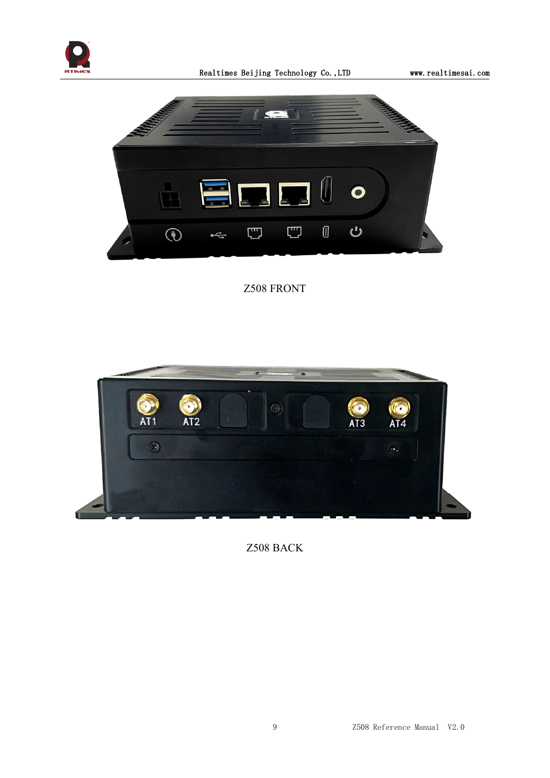



Z508 FRONT



Z508 BACK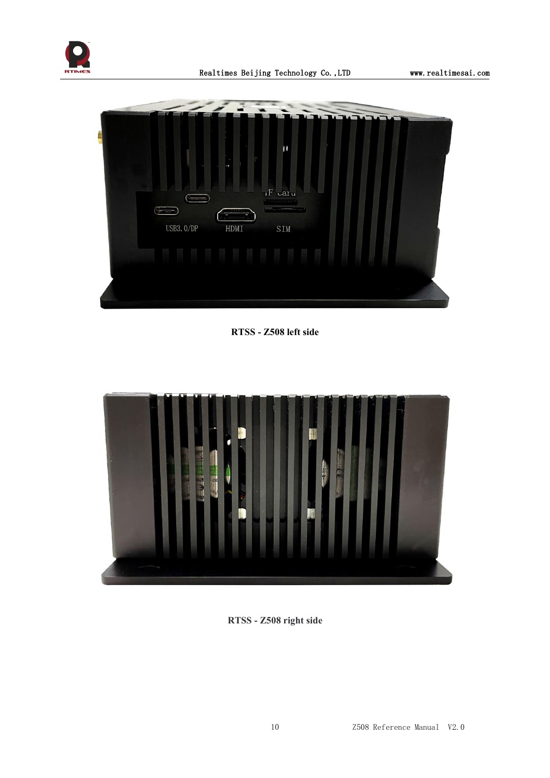



**RTSS - Z508 left side**



**RTSS - Z508 right side**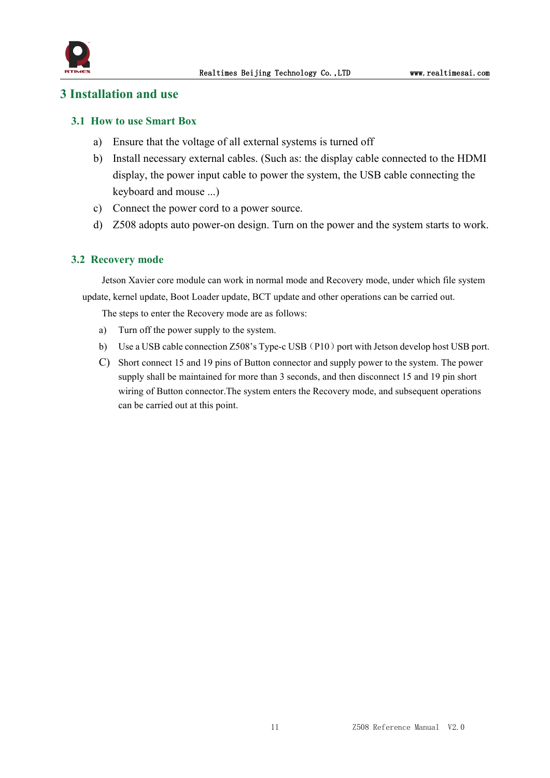

#### <span id="page-10-0"></span>**3 Installation and use**

#### <span id="page-10-1"></span>**3.1 How to use Smart Box**

- a) Ensure that the voltage of all external systems is turned off
- b) Install necessary external cables. (Such as: the display cable connected to the HDMI display, the power input cable to power the system, the USB cable connecting the keyboard and mouse ...)
- c) Connect the power cord to a power source.
- d) Z508 adopts auto power-on design. Turn on the power and the system starts to work.

#### <span id="page-10-2"></span>**3.2 Recovery mode**

Jetson Xavier core module can work in normal mode and Recovery mode, under which file system update, kernel update, Boot Loader update, BCT update and other operations can be carried out.

The steps to enter the Recovery mode are as follows:

- a) Turn off the power supply to the system.
- b) Use a USB cable connection Z508's Type-c USB (P10) port with Jetson develop host USB port.
- C) Short connect 15 and 19 pins of Button connector and supply power to the system. The power supply shall be maintained for more than 3 seconds, and then disconnect 15 and 19 pin short wiring of Button connector.The system enters the Recovery mode, and subsequent operations can be carried out at this point.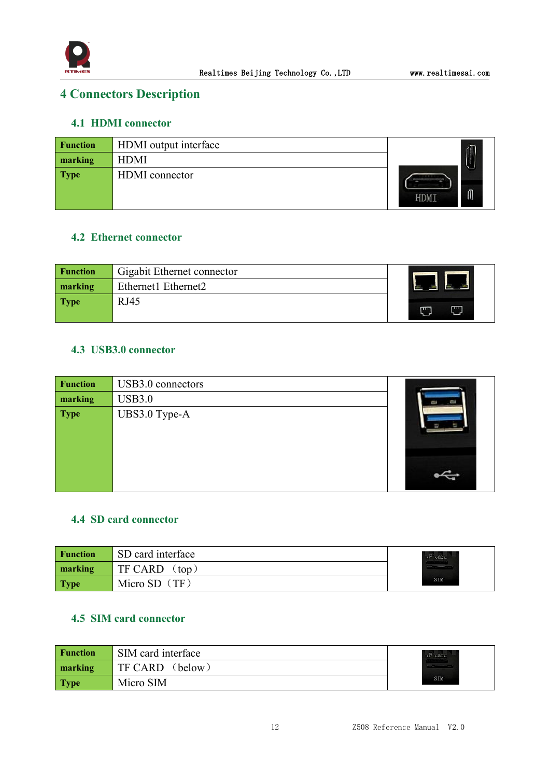

## <span id="page-11-0"></span>**4 Connectors Description**

#### <span id="page-11-1"></span>**4.1 HDMI connector**

| Function    | <b>HDMI</b> output interface |           |
|-------------|------------------------------|-----------|
| marking     | <b>HDMI</b>                  |           |
| <b>Type</b> | HDMI connector               | 0<br>HDMI |

#### <span id="page-11-2"></span>**4.2 Ethernet connector**

| <b>Function</b> | Gigabit Ethernet connector |        |
|-----------------|----------------------------|--------|
| marking         | Ethernet1 Ethernet2        |        |
| <b>Type</b>     | <b>RJ45</b>                | ш<br>m |

#### <span id="page-11-3"></span>**4.3 USB3.0 connector**

| <b>Function</b> | USB3.0 connectors |  |
|-----------------|-------------------|--|
| marking         | <b>USB3.0</b>     |  |
| <b>Type</b>     | UBS3.0 Type-A     |  |

#### <span id="page-11-4"></span>**4.4 SD card connector**

| <b>Function</b> | SD card interface    | $IF$ $catu$<br><b><i><u>Provident Contracts</u></i></b> |  |
|-----------------|----------------------|---------------------------------------------------------|--|
| marking         | TF CARD<br>$\pm 100$ |                                                         |  |
| <b>Type</b>     | Micro SD $(TF)$      | <b>SIM</b>                                              |  |

#### <span id="page-11-5"></span>**4.5 SIM card connector**

| <b>Function</b> | SIM card interface | $IF$ $catu$<br><b>Second House</b> |
|-----------------|--------------------|------------------------------------|
| marking         | TF CARD<br>(below) |                                    |
| <b>Type</b>     | Micro SIM          | SIM                                |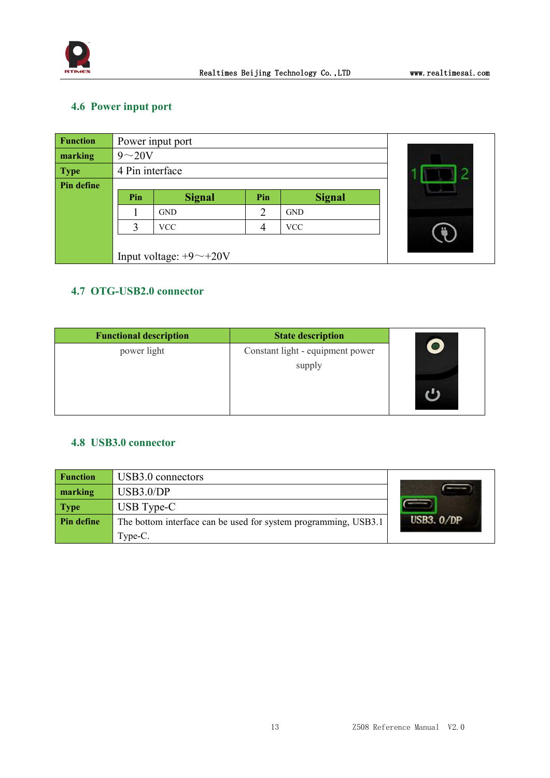

## <span id="page-12-0"></span>**4.6 Power input port**

| <b>Function</b> |                 | Power input port              |     |               |  |
|-----------------|-----------------|-------------------------------|-----|---------------|--|
| marking         | $9\sim20V$      |                               |     |               |  |
| <b>Type</b>     | 4 Pin interface |                               |     |               |  |
| Pin define      |                 |                               |     |               |  |
|                 | Pin             | <b>Signal</b>                 | Pin | <b>Signal</b> |  |
|                 |                 | <b>GND</b>                    | ∍   | <b>GND</b>    |  |
|                 |                 | <b>VCC</b>                    |     | <b>VCC</b>    |  |
|                 |                 |                               |     |               |  |
|                 |                 | Input voltage: $+9$ ~ $+20$ V |     |               |  |

## <span id="page-12-1"></span>**4.7 OTG-USB2.0 connector**

| <b>Functional description</b> | <b>State description</b>         |
|-------------------------------|----------------------------------|
| power light                   | Constant light - equipment power |
|                               | supply                           |
|                               |                                  |
|                               |                                  |
|                               |                                  |

#### <span id="page-12-2"></span>**4.8 USB3.0 connector**

| <b>Function</b>   | USB3.0 connectors                                               |              |
|-------------------|-----------------------------------------------------------------|--------------|
| marking           | USB3.0/DP                                                       |              |
| <b>Type</b>       | $\overline{UB}$ Type-C                                          |              |
| <b>Pin define</b> | The bottom interface can be used for system programming, USB3.1 | USB3. $0/DP$ |
|                   | Type-C.                                                         |              |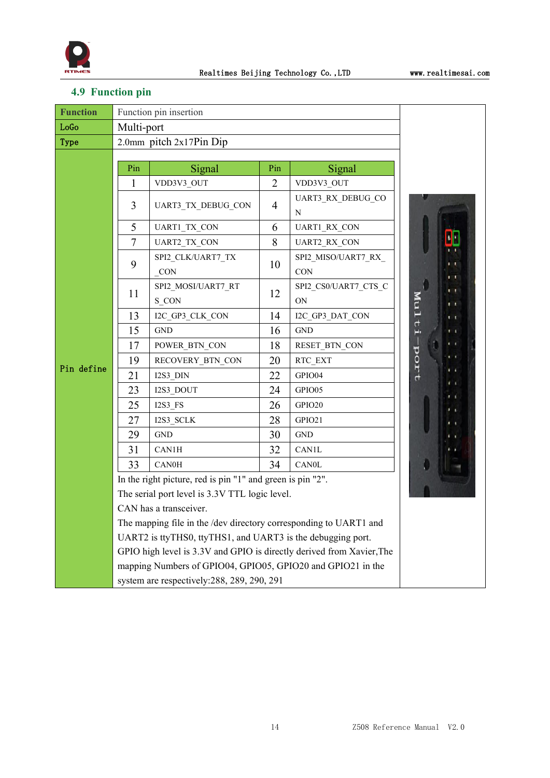

## <span id="page-13-0"></span>**4.9 Function pin**

| <b>Function</b> | Function pin insertion                                      |                                                                       |                |                            |                                                                                          |  |
|-----------------|-------------------------------------------------------------|-----------------------------------------------------------------------|----------------|----------------------------|------------------------------------------------------------------------------------------|--|
| LoGo            | Multi-port                                                  |                                                                       |                |                            |                                                                                          |  |
| <b>Type</b>     | 2.0mm pitch 2x17Pin Dip                                     |                                                                       |                |                            |                                                                                          |  |
| Pin define      | Pin                                                         | Signal                                                                | Pin            | Signal                     |                                                                                          |  |
|                 | 1                                                           | VDD3V3_OUT                                                            | $\overline{2}$ | VDD3V3_OUT                 |                                                                                          |  |
|                 | 3                                                           | UART3_TX_DEBUG_CON                                                    | $\overline{4}$ | UART3_RX_DEBUG_CO<br>N     |                                                                                          |  |
|                 | 5                                                           | UART1_TX_CON                                                          | 6              | UART1_RX_CON               |                                                                                          |  |
|                 | $\overline{7}$                                              | UART2_TX_CON                                                          | 8              | UART2_RX_CON               |                                                                                          |  |
|                 | 9                                                           | SPI2_CLK/UART7_TX<br>CON                                              | 10             | SPI2_MISO/UART7_RX<br>CON  | <b>1 L</b><br>mπ                                                                         |  |
|                 | 11                                                          | SPI2_MOSI/UART7_RT<br>S_CON                                           | 12             | SPI2_CS0/UART7_CTS_C<br>ON | . .<br>Multi<br>ŧτ                                                                       |  |
|                 | 13                                                          | I2C_GP3_CLK_CON                                                       | 14             | I2C_GP3_DAT_CON            | $\mathbf{r}$                                                                             |  |
|                 | 15                                                          | <b>GND</b>                                                            | 16             | <b>GND</b>                 | t t                                                                                      |  |
|                 | 17                                                          | POWER_BTN_CON                                                         | 18             | RESET_BTN_CON              | 1100d<br>$\cdots$<br>$\mathbf{L}$<br>$\mathbf{L}$<br>$\mathbf{L}$<br>1 C<br>$\mathbf{I}$ |  |
|                 | 19                                                          | RECOVERY_BTN_CON                                                      | 20             | RTC_EXT                    |                                                                                          |  |
|                 | 21                                                          | $I2S3_DIN$                                                            | 22             | GPIO04                     |                                                                                          |  |
|                 | 23                                                          | I2S3_DOUT                                                             | 24             | GPIO05                     |                                                                                          |  |
|                 | 25                                                          | $I2S3$ <sub>_FS</sub>                                                 | 26             | GPIO20                     |                                                                                          |  |
|                 | 27                                                          | I2S3_SCLK                                                             | 28             | GPIO21                     |                                                                                          |  |
|                 | 29                                                          | <b>GND</b>                                                            | 30             | <b>GND</b>                 | $\cdots$<br>. .                                                                          |  |
|                 | 31                                                          | CAN1H                                                                 | 32             | CAN1L                      |                                                                                          |  |
|                 | 33                                                          | CAN0H                                                                 | 34             | <b>CAN0L</b>               |                                                                                          |  |
|                 |                                                             | In the right picture, red is pin "1" and green is pin "2".            |                |                            |                                                                                          |  |
|                 |                                                             | The serial port level is 3.3V TTL logic level.                        |                |                            |                                                                                          |  |
|                 |                                                             | CAN has a transceiver.                                                |                |                            |                                                                                          |  |
|                 |                                                             | The mapping file in the /dev directory corresponding to UART1 and     |                |                            |                                                                                          |  |
|                 |                                                             | UART2 is ttyTHS0, ttyTHS1, and UART3 is the debugging port.           |                |                            |                                                                                          |  |
|                 |                                                             | GPIO high level is 3.3V and GPIO is directly derived from Xavier, The |                |                            |                                                                                          |  |
|                 | mapping Numbers of GPIO04, GPIO05, GPIO20 and GPIO21 in the |                                                                       |                |                            |                                                                                          |  |
|                 | system are respectively: 288, 289, 290, 291                 |                                                                       |                |                            |                                                                                          |  |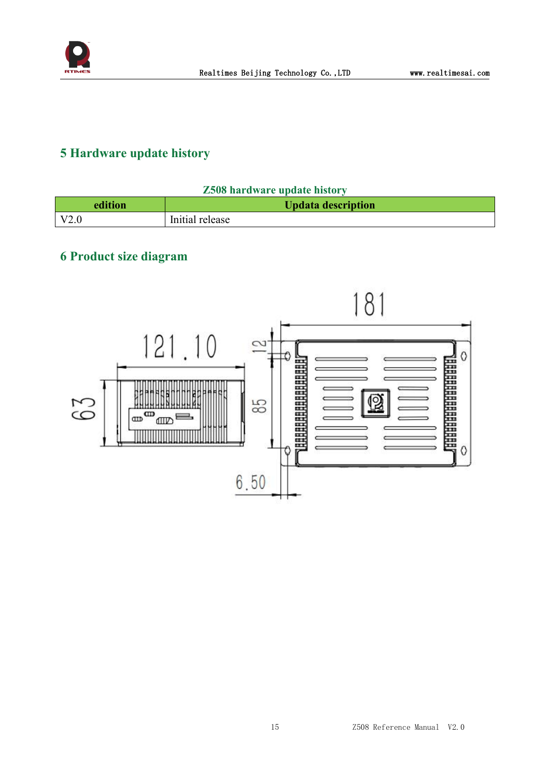

## <span id="page-14-0"></span>**5 Hardware update history**

| <b>Z508 hardware update history</b> |
|-------------------------------------|
|                                     |

| edition | <b>Updata description</b> |
|---------|---------------------------|
| V2.0    | Initial release           |

# <span id="page-14-1"></span>**6 Product size diagram**

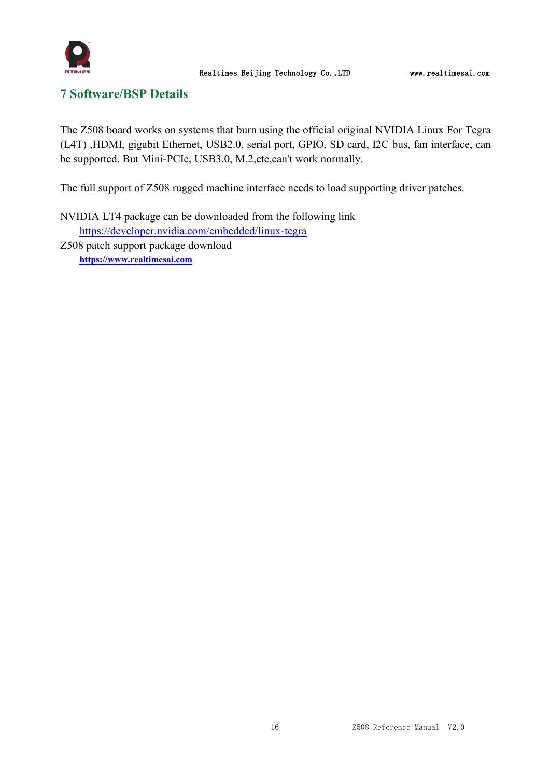

## <span id="page-15-0"></span>**7 Software/BSP Details**

The Z508 board works on systems that burn using the official original NVIDIA Linux For Tegra (L4T) ,HDMI, gigabit Ethernet, USB2.0, serial port, GPIO, SD card, I2C bus, fan interface, can be supported. But Mini-PCIe, USB3.0, M.2,etc,can't work normally.

The full support of Z508 rugged machine interface needs to load supporting driver patches.

NVIDIA LT4 package can be downloaded from the following link <https://developer.nvidia.com/embedded/linux-tegra> Z508 patch support package download **[https://www.realtimesai.com](https://www.realtimesai.com/en/software.html)**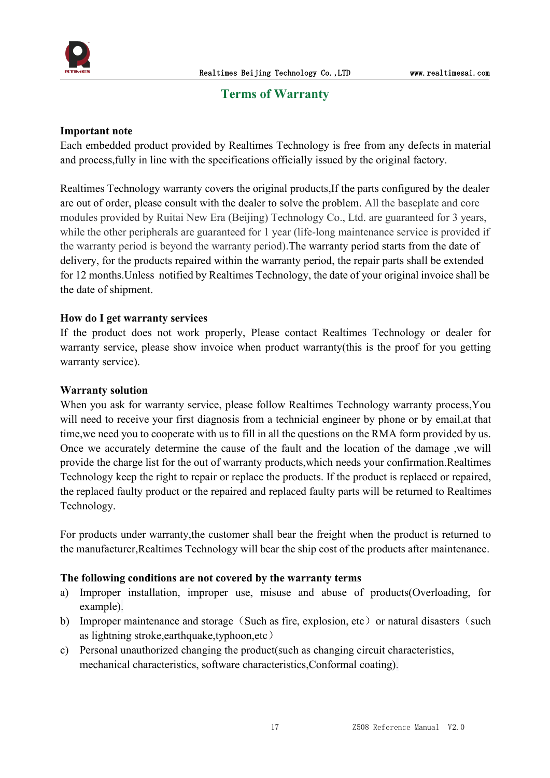

#### <span id="page-16-0"></span>**Terms** of Warranty

#### **Important note**

Each embedded product provided by Realtimes Technology is free from any defects in material and process,fully in line with the specifications officially issued by the original factory.

Realtimes Technology warranty covers the original products,If the parts configured by the dealer are out of order, please consult with the dealer to solve the problem. All the baseplate and core modules provided by Ruitai New Era (Beijing) Technology Co., Ltd. are guaranteed for 3 years, while the other peripherals are guaranteed for 1 year (life-long maintenance service is provided if the warranty period is beyond the warranty period).The warranty period starts from the date of delivery, for the products repaired within the warranty period, the repair parts shall be extended for 12 months.Unless notified by Realtimes Technology, the date of your original invoice shall be the date of shipment.

#### **How do I get warranty services**

If the product does not work properly, Please contact Realtimes Technology or dealer for warranty service, please show invoice when product warranty(this is the proof for you getting warranty service).

#### **Warranty solution**

When you ask for warranty service, please follow Realtimes Technology warranty process, You will need to receive your first diagnosis from a technicial engineer by phone or by email,at that time,we need you to cooperate with us to fill in all the questions on the RMA form provided by us. Once we accurately determine the cause of the fault and the location of the damage ,we will provide the charge list for the out of warranty products,which needs your confirmation.Realtimes Technology keep the right to repair or replace the products. If the product is replaced or repaired, the replaced faulty product or the repaired and replaced faulty parts will be returned to Realtimes Technology.

For products under warranty,the customer shall bear the freight when the product is returned to the manufacturer,Realtimes Technology will bear the ship cost of the products after maintenance.

#### **The following conditions are not covered by the warranty terms**

- a) Improper installation, improper use, misuse and abuse of products(Overloading, for example).
- b) Improper maintenance and storage (Such as fire, explosion, etc) or natural disasters (such as lightning stroke,earthquake,typhoon,etc)
- c) Personal unauthorized changing the product(such as changing circuit characteristics, mechanical characteristics, software characteristics,Conformal coating).